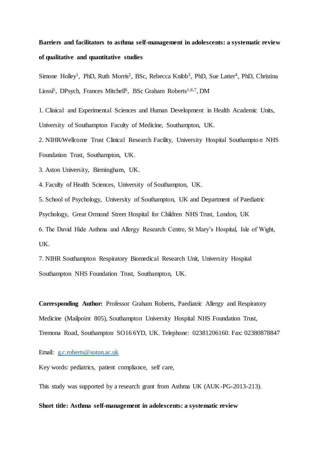# **Barriers and facilitators to asthma self-management in adolescents: a systematic review of qualitative and quantitative studies**

Simone Holley<sup>1</sup>, PhD, Ruth Morris<sup>2</sup>, BSc, Rebecca Knibb<sup>3</sup>, PhD, Sue Latter<sup>4</sup>, PhD, Christina Liossi<sup>5</sup>, DPsych, Frances Mitchell<sup>6</sup>, BSc Graham Roberts<sup>1,6,7</sup>, DM

1. Clinical and Experimental Sciences and Human Development in Health Academic Units, University of Southampton Faculty of Medicine, Southampton, UK.

2. NIHR/Wellcome Trust Clinical Research Facility, University Hospital Southampto n NHS Foundation Trust, Southampton, UK.

3. Aston University, Birmingham, UK.

4. Faculty of Health Sciences, University of Southampton, UK.

5. School of Psychology, University of Southampton, UK and Department of Paediatric

Psychology, Great Ormond Street Hospital for Children NHS Trust, London, UK

6. The David Hide Asthma and Allergy Research Centre, St Mary's Hospital, Isle of Wight, UK.

7. NIHR Southampton Respiratory Biomedical Research Unit, University Hospital Southampton NHS Foundation Trust, Southampton, UK.

**Corresponding Author:** Professor Graham Roberts, Paediatric Allergy and Respiratory Medicine (Mailpoint 805), Southampton University Hospital NHS Foundation Trust, Tremona Road, Southampton SO16 6YD, UK. Telephone: 02381206160. Fax: 02380878847

Email: [g.c.roberts@soton.ac.uk](mailto:g.c.roberts@soton.ac.uk)

Key words: pediatrics, patient compliance, self care,

This study was supported by a research grant from Asthma UK (AUK-PG-2013-213).

**Short title: Asthma self-management in adolescents: a systematic review**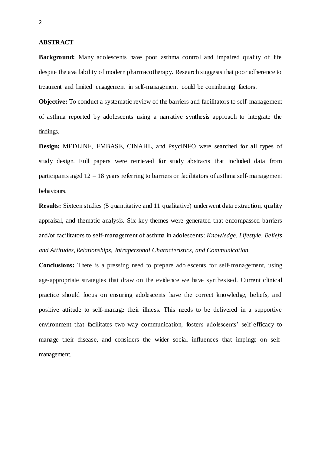#### **ABSTRACT**

**Background:** Many adolescents have poor asthma control and impaired quality of life despite the availability of modern pharmacotherapy. Research suggests that poor adherence to treatment and limited engagement in self-management could be contributing factors.

**Objective:** To conduct a systematic review of the barriers and facilitators to self-management of asthma reported by adolescents using a narrative synthesis approach to integrate the findings.

**Design:** MEDLINE, EMBASE, CINAHL, and PsycINFO were searched for all types of study design. Full papers were retrieved for study abstracts that included data from participants aged  $12 - 18$  years referring to barriers or facilitators of asthma self-management behaviours.

**Results:** Sixteen studies (5 quantitative and 11 qualitative) underwent data extraction, quality appraisal, and thematic analysis. Six key themes were generated that encompassed barriers and/or facilitators to self-management of asthma in adolescents: *Knowledge*, *Lifestyle*, *Beliefs and Attitudes*, *Relationships*, *Intrapersonal Characteristics, and Communication.*

**Conclusions:** There is a pressing need to prepare adolescents for self-management, using age-appropriate strategies that draw on the evidence we have synthesised. Current clinical practice should focus on ensuring adolescents have the correct knowledge, beliefs, and positive attitude to self-manage their illness. This needs to be delivered in a supportive environment that facilitates two-way communication, fosters adolescents' self-efficacy to manage their disease, and considers the wider social influences that impinge on selfmanagement.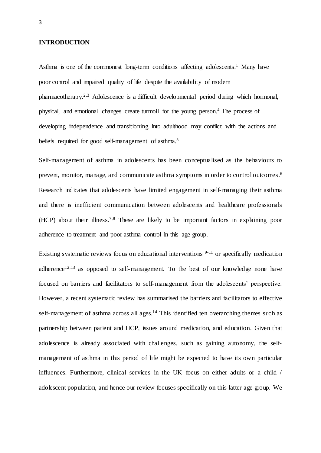#### **INTRODUCTION**

Asthma is one of the commonest long-term conditions affecting adolescents. <sup>1</sup> Many have poor control and impaired quality of life despite the availability of modern pharmacotherapy.<sup>2,3</sup> Adolescence is a difficult developmental period during which hormonal, physical, and emotional changes create turmoil for the young person. <sup>4</sup> The process of developing independence and transitioning into adulthood may conflict with the actions and beliefs required for good self-management of asthma. 5

Self-management of asthma in adolescents has been conceptualised as the behaviours to prevent, monitor, manage, and communicate asthma symptoms in order to control outcomes. 6 Research indicates that adolescents have limited engagement in self-managing their asthma and there is inefficient communication between adolescents and healthcare professionals (HCP) about their illness. 7,8 These are likely to be important factors in explaining poor adherence to treatment and poor asthma control in this age group.

Existing systematic reviews focus on educational interventions  $9-11$  or specifically medication adherence<sup>12,13</sup> as opposed to self-management. To the best of our knowledge none have focused on barriers and facilitators to self-management from the adolescents' perspective. However, a recent systematic review has summarised the barriers and facilitators to effective self-management of asthma across all ages.<sup>14</sup> This identified ten overarching themes such as partnership between patient and HCP, issues around medication, and education. Given that adolescence is already associated with challenges, such as gaining autonomy, the selfmanagement of asthma in this period of life might be expected to have its own particular influences. Furthermore, clinical services in the UK focus on either adults or a child / adolescent population, and hence our review focuses specifically on this latter age group. We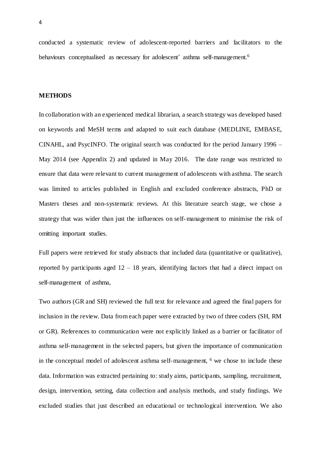conducted a systematic review of adolescent-reported barriers and facilitators to the behaviours conceptualised as necessary for adolescent' asthma self-management.<sup>6</sup>

#### **METHODS**

In collaboration with an experienced medical librarian, a search strategy was developed based on keywords and MeSH terms and adapted to suit each database (MEDLINE, EMBASE, CINAHL, and PsycINFO. The original search was conducted for the period January 1996 – May 2014 (see Appendix 2) and updated in May 2016. The date range was restricted to ensure that data were relevant to current management of adolescents with asthma. The search was limited to articles published in English and excluded conference abstracts, PhD or Masters theses and non-systematic reviews. At this literature search stage, we chose a strategy that was wider than just the influences on self-management to minimise the risk of omitting important studies.

Full papers were retrieved for study abstracts that included data (quantitative or qualitative), reported by participants aged  $12 - 18$  years, identifying factors that had a direct impact on self-management of asthma,

Two authors (GR and SH) reviewed the full text for relevance and agreed the final papers for inclusion in the review. Data from each paper were extracted by two of three coders (SH, RM or GR). References to communication were not explicitly linked as a barrier or facilitator of asthma self-management in the selected papers, but given the importance of communication in the conceptual model of adolescent asthma self-management, <sup>6</sup> we chose to include these data. Information was extracted pertaining to: study aims, participants, sampling, recruitment, design, intervention, setting, data collection and analysis methods, and study findings. We excluded studies that just described an educational or technological intervention. We also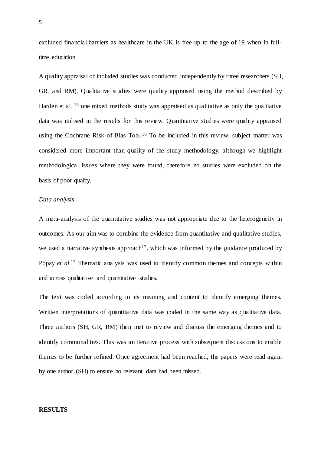excluded financial barriers as healthcare in the UK is free up to the age of 19 when in fulltime education.

A quality appraisal of included studies was conducted independently by three researchers (SH, GR, and RM). Qualitative studies were quality appraised using the method described by Harden et al, <sup>15</sup> one mixed methods study was appraised as qualitative as only the qualitative data was utilised in the results for this review. Quantitative studies were quality appraised using the Cochrane Risk of Bias Tool.<sup>16</sup> To be included in this review, subject matter was considered more important than quality of the study methodology, although we highlight methodological issues where they were found, therefore no studies were excluded on the basis of poor quality.

## *Data analysis*

A meta-analysis of the quantitative studies was not appropriate due to the heterogeneity in outcomes. As our aim was to combine the evidence from quantitative and qualitative studies, we used a narrative synthesis approach<sup>17</sup>, which was informed by the guidance produced by Popay *et al.*<sup>17</sup> Thematic analysis was used to identify common themes and concepts within and across qualitative and quantitative studies.

The text was coded according to its meaning and content to identify emerging themes. Written interpretations of quantitative data was coded in the same way as qualitative data. Three authors (SH, GR, RM) then met to review and discuss the emerging themes and to identify commonalities. This was an iterative process with subsequent discussions to enable themes to be further refined. Once agreement had been reached, the papers were read again by one author (SH) to ensure no relevant data had been missed.

## **RESULTS**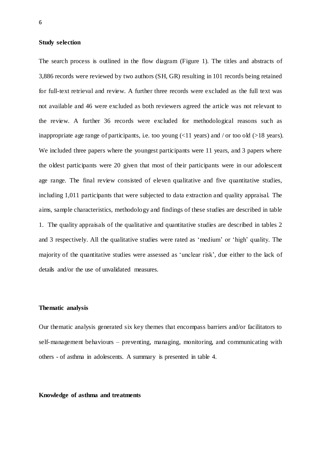#### **Study selection**

The search process is outlined in the flow diagram (Figure 1). The titles and abstracts of 3,886 records were reviewed by two authors (SH, GR) resulting in 101 records being retained for full-text retrieval and review. A further three records were excluded as the full text was not available and 46 were excluded as both reviewers agreed the article was not relevant to the review. A further 36 records were excluded for methodological reasons such as inappropriate age range of participants, i.e. too young  $(\langle 11 \rangle$  years) and / or too old (>18 years). We included three papers where the youngest participants were 11 years, and 3 papers where the oldest participants were 20 given that most of their participants were in our adolescent age range. The final review consisted of eleven qualitative and five quantitative studies, including 1,011 participants that were subjected to data extraction and quality appraisal. The aims, sample characteristics, methodology and findings of these studies are described in table 1. The quality appraisals of the qualitative and quantitative studies are described in tables 2 and 3 respectively. All the qualitative studies were rated as 'medium' or 'high' quality. The majority of the quantitative studies were assessed as 'unclear risk', due either to the lack of details and/or the use of unvalidated measures.

## **Thematic analysis**

Our thematic analysis generated six key themes that encompass barriers and/or facilitators to self-management behaviours – preventing, managing, monitoring, and communicating with others - of asthma in adolescents. A summary is presented in table 4.

#### **Knowledge of asthma and treatments**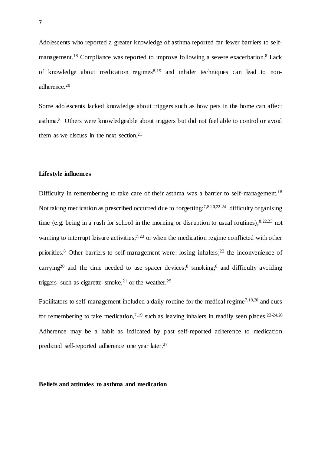Adolescents who reported a greater knowledge of asthma reported far fewer barriers to selfmanagement.<sup>18</sup> Compliance was reported to improve following a severe exacerbation.<sup>8</sup> Lack of knowledge about medication regimes $8,19$  and inhaler techniques can lead to nonadherence.<sup>20</sup>

Some adolescents lacked knowledge about triggers such as how pets in the home can affect asthma. <sup>8</sup> Others were knowledgeable about triggers but did not feel able to control or avoid them as we discuss in the next section. 21

# **Lifestyle influences**

Difficulty in remembering to take care of their asthma was a barrier to self-management.<sup>18</sup> Not taking medication as prescribed occurred due to forgetting;<sup>7,8,20,22-24</sup> difficulty organising time (e.g. being in a rush for school in the morning or disruption to usual routines);8,22,23 not wanting to interrupt leisure activities;<sup>7,23</sup> or when the medication regime conflicted with other priorities.<sup>8</sup> Other barriers to self-management were: losing inhalers;<sup>22</sup> the inconvenience of carrying<sup>20</sup> and the time needed to use spacer devices;<sup>8</sup> smoking;<sup>8</sup> and difficulty avoiding triggers such as cigarette smoke,<sup>21</sup> or the weather.<sup>25</sup>

Facilitators to self-management included a daily routine for the medical regime<sup>7,19,20</sup> and cues for remembering to take medication,<sup>7,19</sup> such as leaving inhalers in readily seen places.<sup>22-24,26</sup> Adherence may be a habit as indicated by past self-reported adherence to medication predicted self-reported adherence one year later.<sup>27</sup>

#### **Beliefs and attitudes to asthma and medication**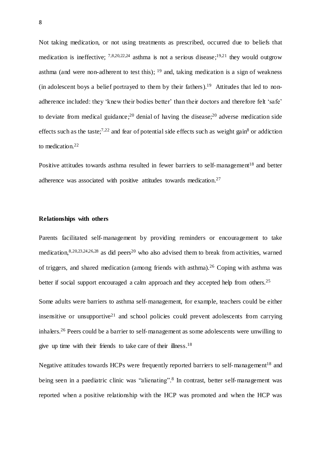Not taking medication, or not using treatments as prescribed, occurred due to beliefs that medication is ineffective;  $7,8,20,22,24$  asthma is not a serious disease;  $19,21$  they would outgrow asthma (and were non-adherent to test this);  $19$  and, taking medication is a sign of weakness (in adolescent boys a belief portrayed to them by their fathers).<sup>19</sup> Attitudes that led to nonadherence included: they 'knew their bodies better' than their doctors and therefore felt 'safe' to deviate from medical guidance;<sup>20</sup> denial of having the disease;<sup>20</sup> adverse medication side effects such as the taste;<sup>7,22</sup> and fear of potential side effects such as weight gain<sup>8</sup> or addiction to medication. 22

Positive attitudes towards asthma resulted in fewer barriers to self-management<sup>18</sup> and better adherence was associated with positive attitudes towards medication.<sup>27</sup>

# **Relationships with others**

Parents facilitated self-management by providing reminders or encouragement to take medication,<sup>8,20,23,24,26,28</sup> as did peers<sup>20</sup> who also advised them to break from activities, warned of triggers, and shared medication (among friends with asthma).<sup>26</sup> Coping with asthma was better if social support encouraged a calm approach and they accepted help from others.<sup>25</sup>

Some adults were barriers to asthma self-management, for example, teachers could be either insensitive or unsupportive<sup>21</sup> and school policies could prevent adolescents from carrying inhalers. <sup>26</sup> Peers could be a barrier to self-management as some adolescents were unwilling to give up time with their friends to take care of their illness.<sup>18</sup>

Negative attitudes towards HCPs were frequently reported barriers to self-management<sup>18</sup> and being seen in a paediatric clinic was "alienating". 8 In contrast, better self-management was reported when a positive relationship with the HCP was promoted and when the HCP was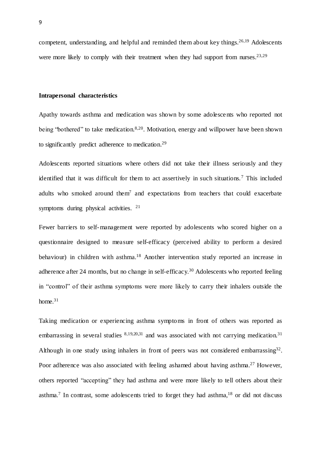competent, understanding, and helpful and reminded them about key things. 26,19 Adolescents were more likely to comply with their treatment when they had support from nurses.<sup>23,29</sup>

#### **Intrapersonal characteristics**

Apathy towards asthma and medication was shown by some adolescents who reported not being "bothered" to take medication.<sup>8,20</sup>. Motivation, energy and willpower have been shown to significantly predict adherence to medication.<sup>29</sup>

Adolescents reported situations where others did not take their illness seriously and they identified that it was difficult for them to act assertively in such situations.<sup>7</sup> This included adults who smoked around them<sup>7</sup> and expectations from teachers that could exacerbate symptoms during physical activities. <sup>21</sup>

Fewer barriers to self-management were reported by adolescents who scored higher on a questionnaire designed to measure self-efficacy (perceived ability to perform a desired behaviour) in children with asthma.<sup>18</sup> Another intervention study reported an increase in adherence after 24 months, but no change in self-efficacy.<sup>30</sup> Adolescents who reported feeling in "control" of their asthma symptoms were more likely to carry their inhalers outside the home. 31

Taking medication or experiencing asthma symptoms in front of others was reported as embarrassing in several studies <sup>8,19,20,31</sup> and was associated with not carrying medication.<sup>31</sup> Although in one study using inhalers in front of peers was not considered embarrassing<sup>32</sup>. Poor adherence was also associated with feeling ashamed about having asthma.<sup>27</sup> However, others reported "accepting" they had asthma and were more likely to tell others about their asthma.<sup>7</sup> In contrast, some adolescents tried to forget they had asthma,<sup>18</sup> or did not discuss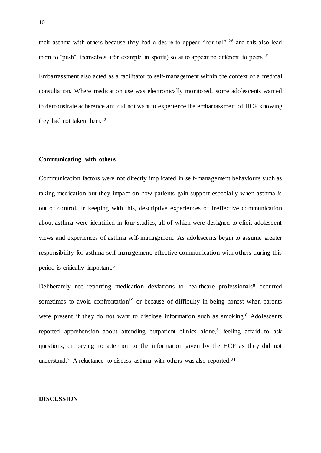their asthma with others because they had a desire to appear "normal" <sup>26</sup> and this also lead them to "push" themselves (for example in sports) so as to appear no different to peers.<sup>21</sup> Embarrassment also acted as a facilitator to self-management within the context of a medical consultation. Where medication use was electronically monitored, some adolescents wanted to demonstrate adherence and did not want to experience the embarrassment of HCP knowing they had not taken them. 22

# **Communicating with others**

Communication factors were not directly implicated in self-management behaviours such as taking medication but they impact on how patients gain support especially when asthma is out of control. In keeping with this, descriptive experiences of ineffective communication about asthma were identified in four studies, all of which were designed to elicit adolescent views and experiences of asthma self-management. As adolescents begin to assume greater responsibility for asthma self-management, effective communication with others during this period is critically important. 6

Deliberately not reporting medication deviations to healthcare professionals $8$  occurred sometimes to avoid confrontation<sup>19</sup> or because of difficulty in being honest when parents were present if they do not want to disclose information such as smoking.<sup>8</sup> Adolescents reported apprehension about attending outpatient clinics alone,<sup>8</sup> feeling afraid to ask questions, or paying no attention to the information given by the HCP as they did not understand.<sup>7</sup> A reluctance to discuss asthma with others was also reported.<sup>21</sup>

# **DISCUSSION**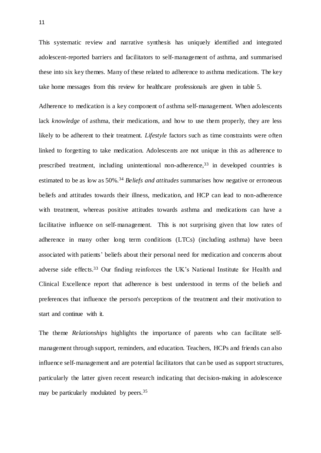This systematic review and narrative synthesis has uniquely identified and integrated adolescent-reported barriers and facilitators to self-management of asthma, and summarised these into six key themes. Many of these related to adherence to asthma medications. The key take home messages from this review for healthcare professionals are given in table 5.

Adherence to medication is a key component of asthma self-management. When adolescents lack *knowledge* of asthma, their medications, and how to use them properly, they are less likely to be adherent to their treatment. *Lifestyle* factors such as time constraints were often linked to forgetting to take medication. Adolescents are not unique in this as adherence to prescribed treatment, including unintentional non-adherence,<sup>33</sup> in developed countries is estimated to be as low as 50%.<sup>34</sup> *Beliefs and attitudes* summarises how negative or erroneous beliefs and attitudes towards their illness, medication, and HCP can lead to non-adherence with treatment, whereas positive attitudes towards asthma and medications can have a facilitative influence on self-management. This is not surprising given that low rates of adherence in many other long term conditions (LTCs) (including asthma) have been associated with patients' beliefs about their personal need for medication and concerns about adverse side effects. <sup>33</sup> Our finding reinforces the UK's National Institute for Health and Clinical Excellence report that adherence is best understood in terms of the beliefs and preferences that influence the person's perceptions of the treatment and their motivation to start and continue with it.

The theme *Relationships* highlights the importance of parents who can facilitate selfmanagement through support, reminders, and education. Teachers, HCPs and friends can also influence self-management and are potential facilitators that can be used as support structures, particularly the latter given recent research indicating that decision-making in adolescence may be particularly modulated by peers.<sup>35</sup>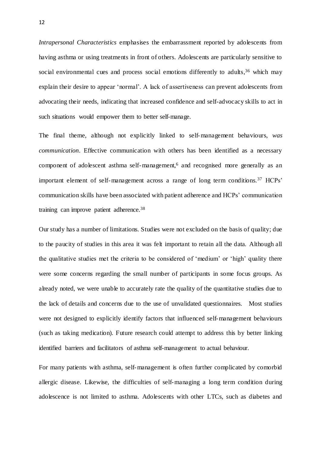*Intrapersonal Characteristics* emphasises the embarrassment reported by adolescents from having asthma or using treatments in front of others. Adolescents are particularly sensitive to social environmental cues and process social emotions differently to adults,<sup>36</sup> which may explain their desire to appear 'normal'. A lack of assertiveness can prevent adolescents from advocating their needs, indicating that increased confidence and self-advocacy skills to act in such situations would empower them to better self-manage.

The final theme, although not explicitly linked to self-management behaviours, *was communication*. Effective communication with others has been identified as a necessary component of adolescent asthma self-management,<sup>6</sup> and recognised more generally as an important element of self-management across a range of long term conditions.<sup>37</sup> HCPs' communication skills have been associated with patient adherence and HCPs' communication training can improve patient adherence.<sup>38</sup>

Our study has a number of limitations. Studies were not excluded on the basis of quality; due to the paucity of studies in this area it was felt important to retain all the data. Although all the qualitative studies met the criteria to be considered of 'medium' or 'high' quality there were some concerns regarding the small number of participants in some focus groups. As already noted, we were unable to accurately rate the quality of the quantitative studies due to the lack of details and concerns due to the use of unvalidated questionnaires. Most studies were not designed to explicitly identify factors that influenced self-management behaviours (such as taking medication). Future research could attempt to address this by better linking identified barriers and facilitators of asthma self-management to actual behaviour.

For many patients with asthma, self-management is often further complicated by comorbid allergic disease. Likewise, the difficulties of self-managing a long term condition during adolescence is not limited to asthma. Adolescents with other LTCs, such as diabetes and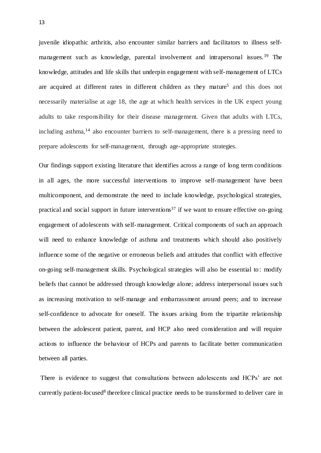juvenile idiopathic arthritis, also encounter similar barriers and facilitators to illness selfmanagement such as knowledge, parental involvement and intrapersonal issues.<sup>39</sup> The knowledge, attitudes and life skills that underpin engagement with self-management of LTCs are acquired at different rates in different children as they mature<sup>5</sup> and this does not necessarily materialise at age 18, the age at which health services in the UK expect young adults to take responsibility for their disease management. Given that adults with LTCs, including asthma,<sup>14</sup> also encounter barriers to self-management, there is a pressing need to prepare adolescents for self-management, through age-appropriate strategies.

Our findings support existing literature that identifies across a range of long term conditions in all ages, the more successful interventions to improve self-management have been multicomponent, and demonstrate the need to include knowledge, psychological strategies, practical and social support in future interventions<sup>37</sup> if we want to ensure effective on-going engagement of adolescents with self-management. Critical components of such an approach will need to enhance knowledge of asthma and treatments which should also positively influence some of the negative or erroneous beliefs and attitudes that conflict with effective on-going self-management skills. Psychological strategies will also be essential to : modify beliefs that cannot be addressed through knowledge alone; address interpersonal issues such as increasing motivation to self-manage and embarrassment around peers; and to increase self-confidence to advocate for oneself. The issues arising from the tripartite relationship between the adolescent patient, parent, and HCP also need consideration and will require actions to influence the behaviour of HCPs and parents to facilitate better communication between all parties.

There is evidence to suggest that consultations between adolescents and HCPs' are not currently patient-focused<sup>8</sup> therefore clinical practice needs to be transformed to deliver care in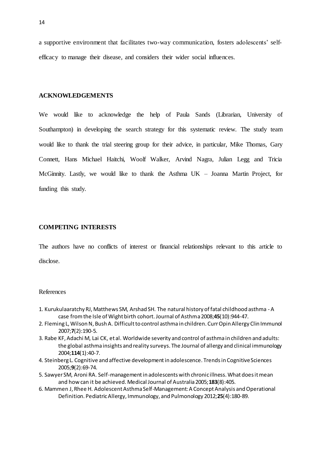a supportive environment that facilitates two-way communication, fosters adolescents' selfefficacy to manage their disease, and considers their wider social influences.

#### **ACKNOWLEDGEMENTS**

We would like to acknowledge the help of Paula Sands (Librarian, University of Southampton) in developing the search strategy for this systematic review. The study team would like to thank the trial steering group for their advice, in particular, Mike Thomas, Gary Connett, Hans Michael Haitchi, Woolf Walker, Arvind Nagra, Julian Legg and Tricia McGinnity. Lastly, we would like to thank the Asthma UK – Joanna Martin Project, for funding this study.

# **COMPETING INTERESTS**

The authors have no conflicts of interest or financial relationships relevant to this article to disclose.

# References

- 1. Kurukulaaratchy RJ, Matthews SM, Arshad SH. The natural history of fatal childhood asthma A case from the Isle of Wight birth cohort. Journal of Asthma 2008;**45**(10):944-47.
- 2. Fleming L, Wilson N, Bush A. Difficult to control asthma in children. Curr Opin Allergy Clin Immunol 2007;**7**(2):190-5.
- 3. Rabe KF, Adachi M, Lai CK, et al. Worldwide severity and control of asthma in children and adults: the global asthma insights and reality surveys. The Journal of allergy and clinical immunology 2004;**114**(1):40-7.
- 4. Steinberg L. Cognitive and affective development in adolescence. Trends in Cognitive Sciences 2005;**9**(2):69-74.
- 5. Sawyer SM, Aroni RA. Self-management in adolescents with chronic illness. What does it mean and how can it be achieved. Medical Journal of Australia 2005;**183**(8):405.
- 6. Mammen J, Rhee H. Adolescent Asthma Self-Management: A Concept Analysis and Operational Definition. Pediatric Allergy, Immunology, and Pulmonology 2012;**25**(4):180-89.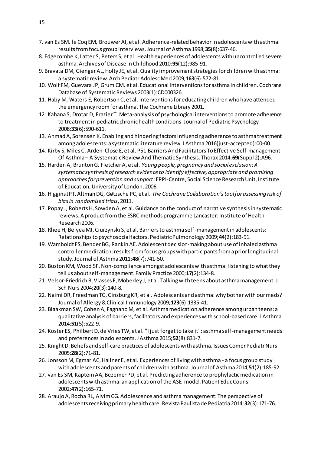- 7. van Es SM, le Coq EM, Brouwer AI, et al. Adherence-related behavior in adolescents with asthma: results from focus group interviews. Journal of Asthma 1998;**35**(8):637-46.
- 8. Edgecombe K, Latter S, Peters S, et al. Health experiences of adolescents with uncontrolled severe asthma. Archives of Disease in Childhood 2010;**95**(12):985-91.
- 9. Bravata DM, Gienger AL, Holty JE, et al. Quality improvement strategies for children with asthma: a systematic review. Arch Pediatr Adolesc Med 2009;**163**(6):572-81.
- 10. Wolf FM, Guevara JP, Grum CM, et al. Educational interventions for asthma in children. Cochrane Database of Systematic Reviews 2003(1):CD000326.
- 11. Haby M, Waters E, Robertson C, et al. Interventions for educating children who have attended the emergency room for asthma. The Cochrane Library 2001.
- 12. Kahana S, Drotar D, Frazier T. Meta-analysis of psychological interventions to promote adherence to treatment in pediatric chronic health conditions. Journal of Pediatric Psychology 2008;**33**(6):590-611.
- 13. Ahmad A, Sorensen K. Enabling and hindering factors influencing adherence to asthma treatment among adolescents: a systematic literature review. J Asthma 2016(just-accepted):00-00.
- 14. Kirby S, Miles C, Arden-Close E, et al. P51 Barriers And Facilitators To Effective Self-management Of Asthma – A Systematic Review And Thematic Synthesis. Thorax 2014;**69**(Suppl 2):A96.
- 15. Harden A, Brunton G, Fletcher A, et al. *Young people, pregnancy and social exclusion: A systematic synthesis of research evidence to identify effective, appropriate and promising approaches for prevention and support*: EPPI-Centre, Social Science Research Unit, Institute of Education, University of London, 2006.
- 16. Higgins JPT, Altman DG, Gøtzsche PC, et al. *The Cochrane Collaboration's tool for assessing risk of bias in randomised trials*, 2011.
- 17. Popay J, Roberts H, Sowden A, et al. Guidance on the conduct of narrative synthesis in systematic reviews. A product from the ESRC methods programme Lancaster: Institute of Health Research 2006.
- 18. Rhee H, Belyea MJ, Ciurzynski S, et al. Barriers to asthma self-management in adolescents: Relationships to psychosocial factors. Pediatric Pulmonology 2009;**44**(2):183-91.
- 19. Wamboldt FS, Bender BG, Rankin AE. Adolescent decision-making about use of inhaled asthma controller medication: results from focus groups with participants from a prior longitudinal study. Journal of Asthma 2011;**48**(7):741-50.
- 20. Buston KM, Wood SF. Non-compliance amongst adolescents with asthma: listening to what they tell us about self-management. Family Practice 2000;**17**(2):134-8.
- 21. Velsor-Friedrich B, Vlasses F, Moberley J, et al. Talking with teens about asthma management. J Sch Nurs 2004;**20**(3):140-8.
- 22. Naimi DR, Freedman TG, Ginsburg KR, et al. Adolescents and asthma: why bother with our meds? Journal of Allergy & Clinical Immunology 2009;**123**(6):1335-41.
- 23. Blaakman SW, Cohen A, Fagnano M, et al. Asthma medication adherence among urban teens: a qualitative analysis of barriers, facilitators and experiences with school-based care. J Asthma 2014;**51**(5):522-9.
- 24. Koster ES, Philbert D, de Vries TW, et al. "I just forget to take it": asthma self-management needs and preferences in adolescents. J Asthma 2015;**52**(8):831-7.
- 25. Knight D. Beliefs and self-care practices of adolescents with asthma. Issues Compr Pediatr Nurs 2005;**28**(2):71-81.
- 26. Jonsson M, Egmar AC, Hallner E, et al. Experiences of living with asthma a focus group study with adolescents and parents of children with asthma. Journal of Asthma 2014;**51**(2):185-92.
- 27. van Es SM, Kaptein AA, Bezemer PD, et al. Predicting adherence to prophylactic medication in adolescents with asthma: an application of the ASE-model. Patient Educ Couns 2002;**47**(2):165-71.
- 28. Araujo A, Rocha RL, Alvim CG. Adolescence and asthma management: The perspective of adolescents receiving primary health care. Revista Paulista de Pediatria 2014;**32**(3):171-76.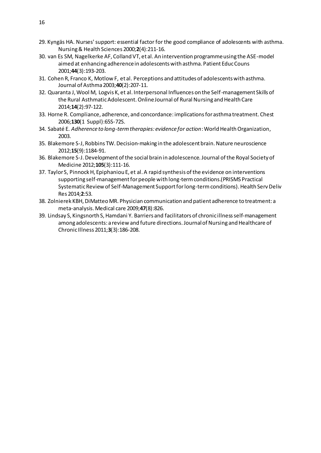- 29. Kyngäs HA. Nurses' support: essential factor for the good compliance of adolescents with asthma. Nursing & Health Sciences 2000;**2**(4):211-16.
- 30. van Es SM, Nagelkerke AF, Colland VT, et al. An intervention programme using the ASE-model aimed at enhancing adherence in adolescents with asthma. Patient Educ Couns 2001;**44**(3):193-203.
- 31. Cohen R, Franco K, Motlow F, et al. Perceptions and attitudes of adolescents with asthma. Journal of Asthma 2003;**40**(2):207-11.
- 32. Quaranta J, Wool M, Logvis K, et al. Interpersonal Influences on the Self-management Skills of the Rural Asthmatic Adolescent. Online Journal of Rural Nursing and Health Care 2014;**14**(2):97-122.
- 33. Horne R. Compliance, adherence, and concordance: implications for asthma treatment. Chest 2006;**130**(1 Suppl):65S-72S.
- 34. Sabaté E. *Adherence to long-term therapies: evidence for action*: World Health Organization, 2003.
- 35. Blakemore S-J, Robbins TW. Decision-making in the adolescent brain. Nature neuroscience 2012;**15**(9):1184-91.
- 36. Blakemore S-J. Development of the social brain in adolescence. Journal of the Royal Society of Medicine 2012;**105**(3):111-16.
- 37. Taylor S, Pinnock H, Epiphaniou E, et al. A rapid synthesis of the evidence on interventions supporting self-management for people with long-term conditions.(PRISMS Practical Systematic Review of Self-Management Support for long-term conditions). Health Serv Deliv Res 2014;**2**:53.
- 38. Zolnierek KBH, DiMatteo MR. Physician communication and patient adherence to treatment: a meta-analysis. Medical care 2009;**47**(8):826.
- 39. Lindsay S, Kingsnorth S, Hamdani Y. Barriers and facilitators of chronic illness self-management among adolescents: a review and future directions. Journal of Nursing and Healthcare of Chronic Illness 2011;**3**(3):186-208.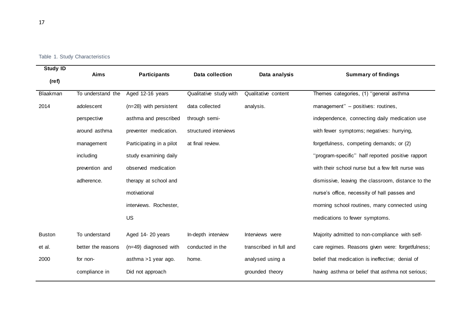|  |  |  | Table 1. Study Characteristics |
|--|--|--|--------------------------------|
|--|--|--|--------------------------------|

| <b>Study ID</b> | <b>Aims</b>        | <b>Participants</b>      | Data collection        | Data analysis           | <b>Summary of findings</b>                         |
|-----------------|--------------------|--------------------------|------------------------|-------------------------|----------------------------------------------------|
| (ref)           |                    |                          |                        |                         |                                                    |
| Blaakman        | To understand the  | Aged 12-16 years         | Qualitative study with | Qualitative content     | Themes categories, (1) "general asthma             |
| 2014            | adolescent         | (n=28) with persistent   | data collected         | analysis.               | management" - positives: routines,                 |
|                 | perspective        | asthma and prescribed    | through semi-          |                         | independence, connecting daily medication use      |
|                 | around asthma      | preventer medication.    | structured interviews  |                         | with fewer symptoms; negatives: hurrying,          |
|                 | management         | Participating in a pilot | at final review.       |                         | forgetfulness, competing demands; or (2)           |
|                 | including          | study examining daily    |                        |                         | "program-specific" half reported positive rapport  |
|                 | prevention and     | observed medication      |                        |                         | with their school nurse but a few felt nurse was   |
|                 | adherence.         | therapy at school and    |                        |                         | dismissive, leaving the classroom, distance to the |
|                 |                    | motivational             |                        |                         | nurse's office, necessity of hall passes and       |
|                 |                    | interviews. Rochester,   |                        |                         | morning school routines, many connected using      |
|                 |                    | <b>US</b>                |                        |                         | medications to fewer symptoms.                     |
| <b>Buston</b>   | To understand      | Aged 14-20 years         | In-depth interview     | Interviews were         | Majority admitted to non-compliance with self-     |
| et al.          | better the reasons | $(n=49)$ diagnosed with  | conducted in the       | transcribed in full and | care regimes. Reasons given were: forgetfulness;   |
| 2000            | for non-           | asthma >1 year ago.      | home.                  | analysed using a        | belief that medication is ineffective; denial of   |
|                 | compliance in      | Did not approach         |                        | grounded theory         | having asthma or belief that asthma not serious;   |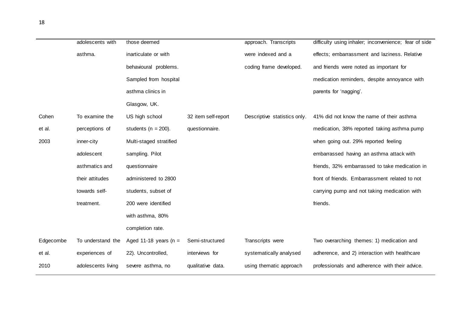|           | adolescents with   | those deemed             |                     | approach. Transcripts        | difficulty using inhaler; inconvenience; fear of side |
|-----------|--------------------|--------------------------|---------------------|------------------------------|-------------------------------------------------------|
|           | asthma.            | inarticulate or with     |                     | were indexed and a           | effects; embarrassment and laziness. Relative         |
|           |                    | behavioural problems.    |                     | coding frame developed.      | and friends were noted as important for               |
|           |                    | Sampled from hospital    |                     |                              | medication reminders, despite annoyance with          |
|           |                    | asthma clinics in        |                     |                              | parents for 'nagging'.                                |
|           |                    | Glasgow, UK.             |                     |                              |                                                       |
| Cohen     | To examine the     | US high school           | 32 item self-report | Descriptive statistics only. | 41% did not know the name of their asthma             |
| et al.    | perceptions of     | students ( $n = 200$ ).  | questionnaire.      |                              | medication, 38% reported taking asthma pump           |
| 2003      | inner-city         | Multi-staged stratified  |                     |                              | when going out. 29% reported feeling                  |
|           | adolescent         | sampling. Pilot          |                     |                              | embarrassed having an asthma attack with              |
|           | asthmatics and     | questionnaire            |                     |                              | friends, 32% embarrassed to take medication in        |
|           | their attitudes    | administered to 2800     |                     |                              | front of friends. Embarrassment related to not        |
|           | towards self-      | students, subset of      |                     |                              | carrying pump and not taking medication with          |
|           | treatment.         | 200 were identified      |                     |                              | friends.                                              |
|           |                    | with asthma, 80%         |                     |                              |                                                       |
|           |                    | completion rate.         |                     |                              |                                                       |
| Edgecombe | To understand the  | Aged 11-18 years ( $n =$ | Semi-structured     | Transcripts were             | Two overarching themes: 1) medication and             |
| et al.    | experiences of     | 22). Uncontrolled,       | interviews for      | systematically analysed      | adherence, and 2) interaction with healthcare         |
| 2010      | adolescents living | severe asthma, no        | qualitative data.   | using thematic approach      | professionals and adherence with their advice.        |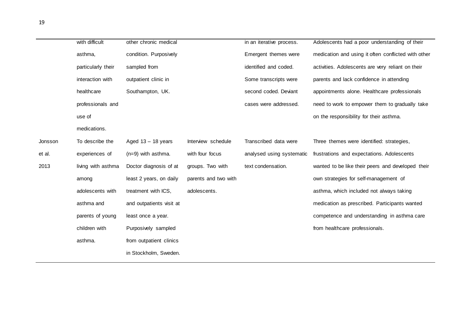|         | with difficult     | other chronic medical    |                      | in an iterative process.  | Adolescents had a poor understanding of their       |
|---------|--------------------|--------------------------|----------------------|---------------------------|-----------------------------------------------------|
|         | asthma,            | condition. Purposively   |                      | Emergent themes were      | medication and using it often conflicted with other |
|         | particularly their | sampled from             |                      | identified and coded.     | activities. Adolescents are very reliant on their   |
|         | interaction with   | outpatient clinic in     |                      | Some transcripts were     | parents and lack confidence in attending            |
|         | healthcare         | Southampton, UK.         |                      | second coded. Deviant     | appointments alone. Healthcare professionals        |
|         | professionals and  |                          |                      | cases were addressed.     | need to work to empower them to gradually take      |
|         | use of             |                          |                      |                           | on the responsibility for their asthma.             |
|         | medications.       |                          |                      |                           |                                                     |
| Jonsson | To describe the    | Aged $13 - 18$ years     | Interview schedule   | Transcribed data were     | Three themes were identified: strategies,           |
| et al.  | experiences of     | $(n=9)$ with asthma.     | with four focus      | analysed using systematic | frustrations and expectations. Adolescents          |
| 2013    | living with asthma | Doctor diagnosis of at   | groups. Two with     | text condensation.        | wanted to be like their peers and developed their   |
|         | among              | least 2 years, on daily  | parents and two with |                           | own strategies for self-management of               |
|         | adolescents with   | treatment with ICS,      | adolescents.         |                           | asthma, which included not always taking            |
|         | asthma and         | and outpatients visit at |                      |                           | medication as prescribed. Participants wanted       |
|         | parents of young   | least once a year.       |                      |                           | competence and understanding in asthma care         |
|         | children with      | Purposively sampled      |                      |                           | from healthcare professionals.                      |
|         | asthma.            | from outpatient clinics  |                      |                           |                                                     |
|         |                    | in Stockholm, Sweden.    |                      |                           |                                                     |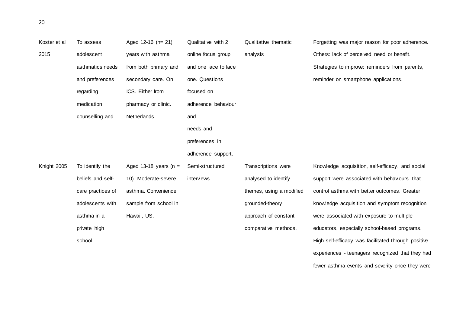| 20 |
|----|
|----|

| Koster et al | To assess         | Aged $12-16$ (n= 21)     | Qualitative with 2   | Qualitative thematic     | Forgetting was major reason for poor adherence.     |
|--------------|-------------------|--------------------------|----------------------|--------------------------|-----------------------------------------------------|
| 2015         | adolescent        | years with asthma        | online focus group   | analysis                 | Others: lack of perceived need or benefit.          |
|              | asthmatics needs  | from both primary and    | and one face to face |                          | Strategies to improve: reminders from parents,      |
|              | and preferences   | secondary care. On       | one. Questions       |                          | reminder on smartphone applications.                |
|              | regarding         | ICS. Either from         | focused on           |                          |                                                     |
|              | medication        | pharmacy or clinic.      | adherence behaviour  |                          |                                                     |
|              | counselling and   | Netherlands              | and                  |                          |                                                     |
|              |                   |                          | needs and            |                          |                                                     |
|              |                   |                          | preferences in       |                          |                                                     |
|              |                   |                          | adherence support.   |                          |                                                     |
| Knight 2005  | To identify the   | Aged 13-18 years ( $n =$ | Semi-structured      | Transcriptions were      | Knowledge acquisition, self-efficacy, and social    |
|              | beliefs and self- | 10). Moderate-severe     | interviews.          | analysed to identify     | support were associated with behaviours that        |
|              | care practices of | asthma. Convenience      |                      | themes, using a modified | control asthma with better outcomes. Greater        |
|              | adolescents with  | sample from school in    |                      | grounded-theory          | knowledge acquisition and symptom recognition       |
|              | asthma in a       | Hawaii, US.              |                      | approach of constant     | were associated with exposure to multiple           |
|              | private high      |                          |                      | comparative methods.     | educators, especially school-based programs.        |
|              | school.           |                          |                      |                          | High self-efficacy was facilitated through positive |
|              |                   |                          |                      |                          | experiences - teenagers recognized that they had    |
|              |                   |                          |                      |                          | fewer asthma events and severity once they were     |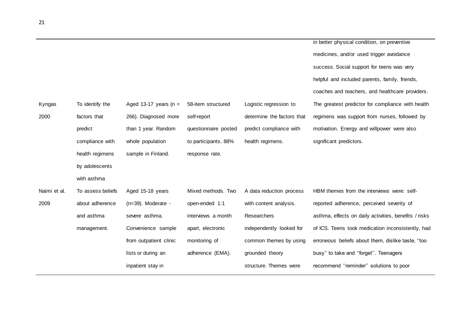|              |                   |                          |                      |                            | in better physical condition, on preventive           |
|--------------|-------------------|--------------------------|----------------------|----------------------------|-------------------------------------------------------|
|              |                   |                          |                      |                            | medicines, and/or used trigger avoidance              |
|              |                   |                          |                      |                            | success. Social support for teens was very            |
|              |                   |                          |                      |                            | helpful and included parents, family, friends,        |
|              |                   |                          |                      |                            | coaches and teachers, and healthcare providers.       |
| Kyngas       | To identify the   | Aged 13-17 years ( $n =$ | 58-item structured   | Logistic regression to     | The greatest predictor for compliance with health     |
| 2000         | factors that      | 266). Diagnosed more     | self-report          | determine the factors that | regimens was support from nurses, followed by         |
|              | predict           | than 1 year. Random      | questionnaire posted | predict compliance with    | motivation. Energy and willpower were also            |
|              | compliance with   | whole population         | to participants. 88% | health regimens.           | significant predictors.                               |
|              | health regimens   | sample in Finland.       | response rate.       |                            |                                                       |
|              | by adolescents    |                          |                      |                            |                                                       |
|              | with asthma       |                          |                      |                            |                                                       |
| Naimi et al. | To assess beliefs | Aged 15-18 years         | Mixed methods. Two   | A data reduction process   | HBM themes from the interviews were: self-            |
| 2009         | about adherence   | $(n=39)$ . Moderate -    | open-ended 1:1       | with content analysis.     | reported adherence, perceived severity of             |
|              | and asthma        | severe asthma.           | interviews a month   | Researchers                | asthma, effects on daily activities, benefits / risks |
|              | management.       | Convenience sample       | apart, electronic    | independently looked for   | of ICS. Teens took medication inconsistently, had     |
|              |                   | from outpatient clinic   | monitoring of        | common themes by using     | erroneous beliefs about them, dislike taste, "too     |
|              |                   | lists or during an       | adherence (EMA).     | grounded theory            | busy" to take and "forget". Teenagers                 |
|              |                   | inpatient stay in        |                      | structure. Themes were     | recommend "reminder" solutions to poor                |
|              |                   |                          |                      |                            |                                                       |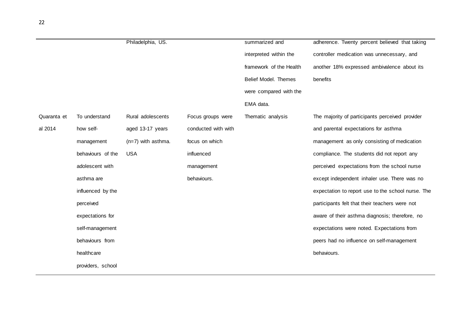|             |                   | Philadelphia, US.    |                     | summarized and          | adherence. Twenty percent believed that taking     |
|-------------|-------------------|----------------------|---------------------|-------------------------|----------------------------------------------------|
|             |                   |                      |                     | interpreted within the  | controller medication was unnecessary, and         |
|             |                   |                      |                     | framework of the Health | another 18% expressed ambivalence about its        |
|             |                   |                      |                     | Belief Model. Themes    | benefits                                           |
|             |                   |                      |                     | were compared with the  |                                                    |
|             |                   |                      |                     | EMA data.               |                                                    |
| Quaranta et | To understand     | Rural adolescents    | Focus groups were   | Thematic analysis       | The majority of participants perceived provider    |
| al 2014     | how self-         | aged 13-17 years     | conducted with with |                         | and parental expectations for asthma               |
|             | management        | $(n=7)$ with asthma. | focus on which      |                         | management as only consisting of medication        |
|             | behaviours of the | <b>USA</b>           | influenced          |                         | compliance. The students did not report any        |
|             | adolescent with   |                      | management          |                         | perceived expectations from the school nurse       |
|             | asthma are        |                      | behaviours.         |                         | except independent inhaler use. There was no       |
|             | influenced by the |                      |                     |                         | expectation to report use to the school nurse. The |
|             | perceived         |                      |                     |                         | participants felt that their teachers were not     |
|             | expectations for  |                      |                     |                         | aware of their asthma diagnosis; therefore, no     |
|             | self-management   |                      |                     |                         | expectations were noted. Expectations from         |
|             | behaviours from   |                      |                     |                         | peers had no influence on self-management          |
|             | healthcare        |                      |                     |                         | behaviours.                                        |
|             | providers, school |                      |                     |                         |                                                    |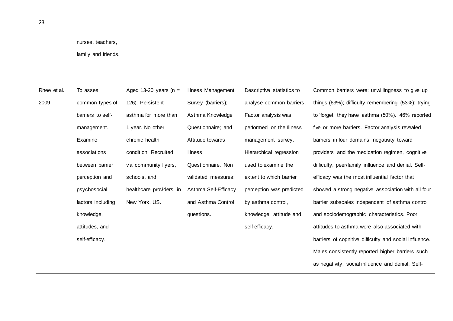# nurses, teachers,

family and friends.

| Rhee et al. | To asses          | Aged 13-20 years (n =   | Illness Management   | Descriptive statistics to | Common barriers were: unwillingness to give up         |
|-------------|-------------------|-------------------------|----------------------|---------------------------|--------------------------------------------------------|
|             |                   |                         |                      |                           |                                                        |
| 2009        | common types of   | 126). Persistent        | Survey (barriers);   | analyse common barriers.  | things (63%); difficulty remembering (53%); trying     |
|             | barriers to self- | asthma for more than    | Asthma Knowledge     | Factor analysis was       | to 'forget' they have asthma (50%). 46% reported       |
|             | management.       | 1 year. No other        | Questionnaire; and   | performed on the Illness  | five or more barriers. Factor analysis revealed        |
|             | Examine           | chronic health          | Attitude towards     | management survey.        | barriers in four domains: negativity toward            |
|             | associations      | condition. Recruited    | <b>Illness</b>       | Hierarchical regression   | providers and the medication regimen, cognitive        |
|             | between barrier   | via community flyers,   | Questionnaire. Non   | used to examine the       | difficulty, peer/family influence and denial. Self-    |
|             | perception and    | schools, and            | validated measures:  | extent to which barrier   | efficacy was the most influential factor that          |
|             | psychosocial      | healthcare providers in | Asthma Self-Efficacy | perception was predicted  | showed a strong negative association with all four     |
|             | factors including | New York, US.           | and Asthma Control   | by asthma control,        | barrier subscales independent of asthma control        |
|             | knowledge,        |                         | questions.           | knowledge, attitude and   | and sociodemographic characteristics. Poor             |
|             | attitudes, and    |                         |                      | self-efficacy.            | attitudes to asthma were also associated with          |
|             | self-efficacy.    |                         |                      |                           | barriers of cognitive difficulty and social influence. |
|             |                   |                         |                      |                           | Males consistently reported higher barriers such       |
|             |                   |                         |                      |                           | as negativity, social influence and denial. Self-      |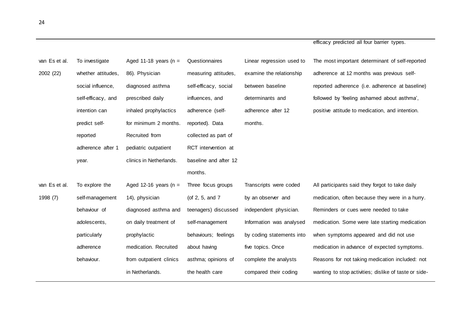| van Es et al. | To investigate     | Aged 11-18 years ( $n =$ | Questionnaires        | Linear regression used to | The most important determinant of self-reported       |
|---------------|--------------------|--------------------------|-----------------------|---------------------------|-------------------------------------------------------|
| 2002 (22)     | whether attitudes, | 86). Physician           | measuring attitudes,  | examine the relationship  | adherence at 12 months was previous self-             |
|               | social influence,  | diagnosed asthma         | self-efficacy, social | between baseline          | reported adherence (i.e. adherence at baseline)       |
|               | self-efficacy, and | prescribed daily         | influences, and       | determinants and          | followed by 'feeling ashamed about asthma',           |
|               | intention can      | inhaled prophylactics    | adherence (self-      | adherence after 12        | positive attitude to medication, and intention.       |
|               | predict self-      | for minimum 2 months.    | reported). Data       | months.                   |                                                       |
|               | reported           | Recruited from           | collected as part of  |                           |                                                       |
|               | adherence after 1  | pediatric outpatient     | RCT intervention at   |                           |                                                       |
|               | year.              | clinics in Netherlands.  | baseline and after 12 |                           |                                                       |
|               |                    |                          | months.               |                           |                                                       |
| van Es et al. | To explore the     | Aged 12-16 years ( $n =$ | Three focus groups    | Transcripts were coded    | All participants said they forgot to take daily       |
| 1998 (7)      | self-management    | 14), physician           | (of 2, 5, and 7       | by an observer and        | medication, often because they were in a hurry.       |
|               | behaviour of       | diagnosed asthma and     | teenagers) discussed  | independent physician.    | Reminders or cues were needed to take                 |
|               | adolescents,       | on daily treatment of    | self-management       | Information was analysed  | medication. Some were late starting medication        |
|               | particularly       | prophylactic             | behaviours; feelings  | by coding statements into | when symptoms appeared and did not use                |
|               | adherence          | medication. Recruited    | about having          | five topics. Once         | medication in advance of expected symptoms.           |
|               | behaviour.         | from outpatient clinics  | asthma; opinions of   | complete the analysts     | Reasons for not taking medication included: not       |
|               |                    | in Netherlands.          | the health care       | compared their coding     | wanting to stop activities; dislike of taste or side- |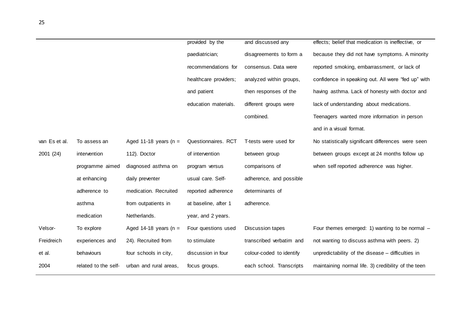|               |                      |                          | provided by the       | and discussed any        | effects; belief that medication is ineffective, or  |
|---------------|----------------------|--------------------------|-----------------------|--------------------------|-----------------------------------------------------|
|               |                      |                          | paediatrician;        | disagreements to form a  | because they did not have symptoms. A minority      |
|               |                      |                          | recommendations for   | consensus. Data were     | reported smoking, embarrassment, or lack of         |
|               |                      |                          | healthcare providers; | analyzed within groups,  | confidence in speaking out. All were "fed up" with  |
|               |                      |                          | and patient           | then responses of the    | having asthma. Lack of honesty with doctor and      |
|               |                      |                          | education materials.  | different groups were    | lack of understanding about medications.            |
|               |                      |                          |                       | combined.                | Teenagers wanted more information in person         |
|               |                      |                          |                       |                          | and in a visual format.                             |
| van Es et al. | To assess an         | Aged 11-18 years ( $n =$ | Questionnaires. RCT   | T-tests were used for    | No statistically significant differences were seen  |
| 2001 (24)     | intervention         | 112). Doctor             | of intervention       | between group            | between groups except at 24 months follow up        |
|               | programme aimed      | diagnosed asthma on      | program versus        | comparisons of           | when self reported adherence was higher.            |
|               | at enhancing         | daily preventer          | usual care. Self-     | adherence, and possible  |                                                     |
|               | adherence to         | medication. Recruited    | reported adherence    | determinants of          |                                                     |
|               | asthma               | from outpatients in      | at baseline, after 1  | adherence.               |                                                     |
|               | medication           | Netherlands.             | year, and 2 years.    |                          |                                                     |
| Velsor-       | To explore           | Aged 14-18 years ( $n =$ | Four questions used   | <b>Discussion tapes</b>  | Four themes emerged: 1) wanting to be normal -      |
| Freidreich    | experiences and      | 24). Recruited from      | to stimulate          | transcribed verbatim and | not wanting to discuss asthma with peers. 2)        |
| et al.        | behaviours           | four schools in city,    | discussion in four    | colour-coded to identify | unpredictability of the disease - difficulties in   |
| 2004          | related to the self- | urban and rural areas,   | focus groups.         | each school. Transcripts | maintaining normal life. 3) credibility of the teen |
|               |                      |                          |                       |                          |                                                     |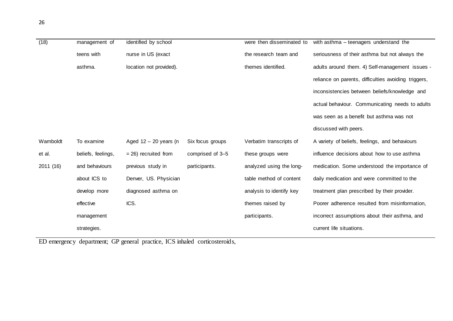| (18)      | management of      | identified by school    |                  | were then disseminated to | with asthma - teenagers understand the               |
|-----------|--------------------|-------------------------|------------------|---------------------------|------------------------------------------------------|
|           | teens with         | nurse in US (exact      |                  | the research team and     | seriousness of their asthma but not always the       |
|           | asthma.            | location not provided). |                  | themes identified.        | adults around them. 4) Self-management issues -      |
|           |                    |                         |                  |                           | reliance on parents, difficulties avoiding triggers, |
|           |                    |                         |                  |                           | inconsistencies between beliefs/knowledge and        |
|           |                    |                         |                  |                           | actual behaviour. Communicating needs to adults      |
|           |                    |                         |                  |                           | was seen as a benefit but asthma was not             |
|           |                    |                         |                  |                           | discussed with peers.                                |
| Wamboldt  | To examine         | Aged $12 - 20$ years (n | Six focus groups | Verbatim transcripts of   | A variety of beliefs, feelings, and behaviours       |
| et al.    | beliefs, feelings, | $= 26$ ) recruited from | comprised of 3-5 | these groups were         | influence decisions about how to use asthma          |
| 2011 (16) | and behaviours     | previous study in       | participants.    | analyzed using the long-  | medication. Some understood the importance of        |
|           | about ICS to       | Denver, US. Physician   |                  | table method of content   | daily medication and were committed to the           |
|           | develop more       | diagnosed asthma on     |                  | analysis to identify key  | treatment plan prescribed by their provider.         |
|           | effective          | ICS.                    |                  | themes raised by          | Poorer adherence resulted from misinformation,       |
|           | management         |                         |                  | participants.             | incorrect assumptions about their asthma, and        |
|           | strategies.        |                         |                  |                           | current life situations.                             |

ED emergency department; GP general practice, ICS inhaled corticosteroids,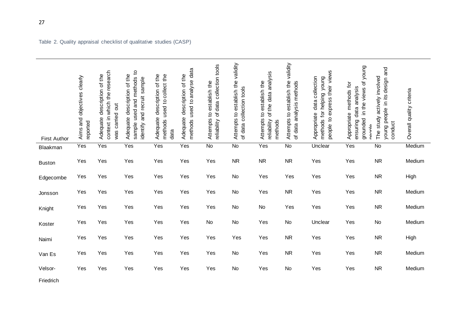| <b>First Author</b> | Aims and objectives clearly<br>reported | context in which the research<br>Adequate description of the<br>was carried out | sample used and methods to<br>Adequate description of the<br>identify and recruit sample | Adequate description of the<br>used to collect the<br>methods<br>data | used to analyse data<br>description of the<br>Adequate<br>methods | data collection tools<br>establish the<br>Attempts to<br>৳<br>reliability | Attempts to establish the validity<br>of data collection tools | of the data analysis<br>Attempts to establish the<br>reliability<br>methods | validity<br>Attempts to establish the<br>of data analysis methods | people to express their views<br>data collection<br>methods for helping young<br>Appropriate | grounded in the views of young<br>methods for<br>ensuring data analysis<br>Appropriate<br>ەمەم | young people in its design and<br>The study actively involved<br>conduct | Overall quality criteria |
|---------------------|-----------------------------------------|---------------------------------------------------------------------------------|------------------------------------------------------------------------------------------|-----------------------------------------------------------------------|-------------------------------------------------------------------|---------------------------------------------------------------------------|----------------------------------------------------------------|-----------------------------------------------------------------------------|-------------------------------------------------------------------|----------------------------------------------------------------------------------------------|------------------------------------------------------------------------------------------------|--------------------------------------------------------------------------|--------------------------|
| Blaakman            | Yes                                     | Yes                                                                             | Yes                                                                                      | Yes                                                                   | Yes                                                               | <b>No</b>                                                                 | <b>No</b>                                                      | Yes                                                                         | $\overline{N}$                                                    | Unclear                                                                                      | Yes                                                                                            | <b>No</b>                                                                | Medium                   |
| <b>Buston</b>       | Yes                                     | Yes                                                                             | Yes                                                                                      | Yes                                                                   | Yes                                                               | Yes                                                                       | <b>NR</b>                                                      | <b>NR</b>                                                                   | <b>NR</b>                                                         | Yes                                                                                          | Yes                                                                                            | <b>NR</b>                                                                | Medium                   |
| Edgecombe           | Yes                                     | Yes                                                                             | Yes                                                                                      | Yes                                                                   | Yes                                                               | Yes                                                                       | No                                                             | Yes                                                                         | Yes                                                               | Yes                                                                                          | Yes                                                                                            | <b>NR</b>                                                                | High                     |
| Jonsson             | Yes                                     | Yes                                                                             | Yes                                                                                      | Yes                                                                   | Yes                                                               | Yes                                                                       | No                                                             | Yes                                                                         | <b>NR</b>                                                         | Yes                                                                                          | Yes                                                                                            | <b>NR</b>                                                                | Medium                   |
| Knight              | Yes                                     | Yes                                                                             | Yes                                                                                      | Yes                                                                   | Yes                                                               | Yes                                                                       | No                                                             | No                                                                          | Yes                                                               | Yes                                                                                          | Yes                                                                                            | ${\sf NR}$                                                               | Medium                   |
| Koster              | Yes                                     | Yes                                                                             | Yes                                                                                      | Yes                                                                   | Yes                                                               | No                                                                        | No                                                             | Yes                                                                         | <b>No</b>                                                         | Unclear                                                                                      | Yes                                                                                            | No                                                                       | Medium                   |
| Naimi               | Yes                                     | Yes                                                                             | Yes                                                                                      | Yes                                                                   | Yes                                                               | Yes                                                                       | Yes                                                            | Yes                                                                         | <b>NR</b>                                                         | Yes                                                                                          | Yes                                                                                            | <b>NR</b>                                                                | High                     |
| Van Es              | Yes                                     | Yes                                                                             | Yes                                                                                      | Yes                                                                   | Yes                                                               | Yes                                                                       | No                                                             | Yes                                                                         | <b>NR</b>                                                         | Yes                                                                                          | Yes                                                                                            | NR                                                                       | Medium                   |
| Velsor-             | Yes                                     | Yes                                                                             | Yes                                                                                      | Yes                                                                   | Yes                                                               | Yes                                                                       | No                                                             | Yes                                                                         | No                                                                | Yes                                                                                          | Yes                                                                                            | <b>NR</b>                                                                | Medium                   |
| Friedrich           |                                         |                                                                                 |                                                                                          |                                                                       |                                                                   |                                                                           |                                                                |                                                                             |                                                                   |                                                                                              |                                                                                                |                                                                          |                          |

Table 2. Quality appraisal checklist of qualitative studies (CASP)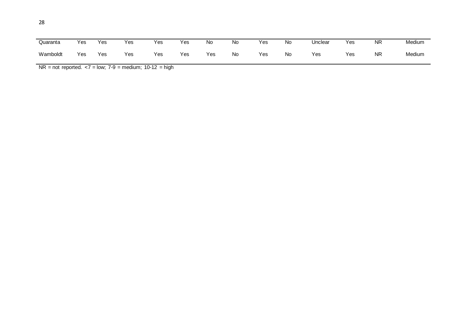| ۰<br>., | ۰.<br>PU 1 | ٦ |
|---------|------------|---|
| I<br>۰. | ٧<br>i     | ٦ |
|         | ×          | ٧ |

| Quaranta | Yes | Yes | $v_{\mathsf{es}}$ | Yes | Yes | No. | No. | Yes | No | Unclear | Yes | <b>NR</b> | Medium |
|----------|-----|-----|-------------------|-----|-----|-----|-----|-----|----|---------|-----|-----------|--------|
| Wamboldt | Yes | Yes | Yes               | Yes | Yes | Yes | No  | Yes | No | Yes     | Yes | <b>NR</b> | Medium |

 $NR = not reported. < 7 = low; 7-9 = medium; 10-12 = high$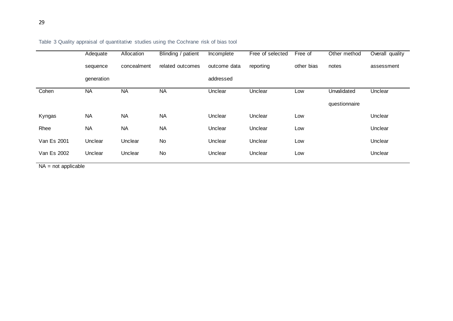|             | Adequate   | Allocation  | Blinding / patient | Incomplete   | Free of selected | Free of    | Other method  | Overall quality |
|-------------|------------|-------------|--------------------|--------------|------------------|------------|---------------|-----------------|
|             | sequence   | concealment | related outcomes   | outcome data | reporting        | other bias | notes         | assessment      |
|             | generation |             |                    | addressed    |                  |            |               |                 |
| Cohen       | <b>NA</b>  | <b>NA</b>   | <b>NA</b>          | Unclear      | Unclear          | Low        | Unvalidated   | Unclear         |
|             |            |             |                    |              |                  |            | questionnaire |                 |
| Kyngas      | <b>NA</b>  | <b>NA</b>   | <b>NA</b>          | Unclear      | Unclear          | Low        |               | Unclear         |
| Rhee        | <b>NA</b>  | <b>NA</b>   | <b>NA</b>          | Unclear      | Unclear          | Low        |               | Unclear         |
| Van Es 2001 | Unclear    | Unclear     | No                 | Unclear      | Unclear          | Low        |               | Unclear         |
| Van Es 2002 | Unclear    | Unclear     | No                 | Unclear      | Unclear          | Low        |               | Unclear         |

# Table 3 Quality appraisal of quantitative studies using the Cochrane risk of bias tool

NA = not applicable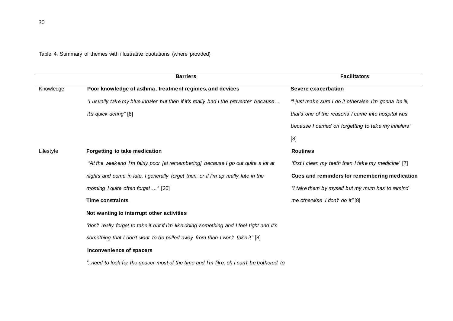Table 4. Summary of themes with illustrative quotations (where provided)

|           | <b>Barriers</b>                                                                           | <b>Facilitators</b>                                   |
|-----------|-------------------------------------------------------------------------------------------|-------------------------------------------------------|
| Knowledge | Poor knowledge of asthma, treatment regimes, and devices                                  | <b>Severe exacerbation</b>                            |
|           | "I usually take my blue inhaler but then if it's really bad I the preventer because       | "I just make sure I do it otherwise I'm gonna be ill, |
|           | it's quick acting" [8]                                                                    | that's one of the reasons I came into hospital was    |
|           |                                                                                           | because I carried on forgetting to take my inhalers"  |
|           |                                                                                           | [8]                                                   |
| Lifestyle | Forgetting to take medication                                                             | <b>Routines</b>                                       |
|           | "At the weekend I'm fairly poor [at remembering] because I go out quite a lot at          | 'first I clean my teeth then I take my medicine' [7]  |
|           | nights and come in late. I generally forget then, or if I'm up really late in the         | Cues and reminders for remembering medication         |
|           | morning I quite often forget" [20]                                                        | "I take them by myself but my mum has to remind       |
|           | <b>Time constraints</b>                                                                   | me otherwise I don't do it"[8]                        |
|           | Not wanting to interrupt other activities                                                 |                                                       |
|           | "don't really forget to take it but if I'm like doing something and I feel tight and it's |                                                       |
|           | something that I don't want to be pulled away from then I won't take it" [8]              |                                                       |
|           | Inconvenience of spacers                                                                  |                                                       |
|           | need to look for the spacer most of the time and I'm like, oh I can't be bothered to"     |                                                       |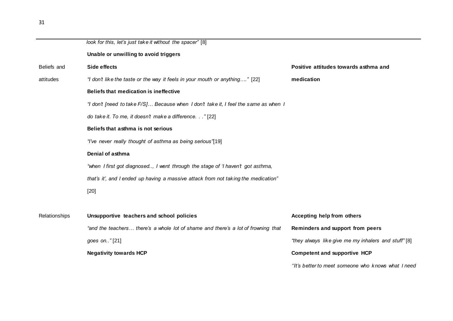| Unable or unwilling to avoid triggers<br>Beliefs and<br>Side effects<br>Positive attitudes towards asthma and<br>"I don't like the taste or the way it feels in your mouth or anything" [22]<br>medication<br>attitudes<br>Beliefs that medication is ineffective<br>"I don't [need to take F/S] Because when I don't take it, I feel the same as when I<br>do take it. To me, it doesn't make a difference." [22]<br>Beliefs that asthma is not serious<br>"I've never really thought of asthma as being serious"[19]<br>Denial of asthma<br>"when I first got diagnosed, I went through the stage of 'I haven't got asthma,<br>that's it', and I ended up having a massive attack from not taking the medication"<br>$[20]$<br>Relationships<br>Unsupportive teachers and school policies<br>Accepting help from others<br>"and the teachers there's a whole lot of shame and there's a lot of frowning that<br>Reminders and support from peers<br>"they always like give me my inhalers and stuff"[8]<br>goes on"[21]<br><b>Negativity towards HCP</b><br><b>Competent and supportive HCP</b> |                                                           |  |
|---------------------------------------------------------------------------------------------------------------------------------------------------------------------------------------------------------------------------------------------------------------------------------------------------------------------------------------------------------------------------------------------------------------------------------------------------------------------------------------------------------------------------------------------------------------------------------------------------------------------------------------------------------------------------------------------------------------------------------------------------------------------------------------------------------------------------------------------------------------------------------------------------------------------------------------------------------------------------------------------------------------------------------------------------------------------------------------------------|-----------------------------------------------------------|--|
|                                                                                                                                                                                                                                                                                                                                                                                                                                                                                                                                                                                                                                                                                                                                                                                                                                                                                                                                                                                                                                                                                                   | look for this, let's just take it without the spacer" [8] |  |
|                                                                                                                                                                                                                                                                                                                                                                                                                                                                                                                                                                                                                                                                                                                                                                                                                                                                                                                                                                                                                                                                                                   |                                                           |  |
|                                                                                                                                                                                                                                                                                                                                                                                                                                                                                                                                                                                                                                                                                                                                                                                                                                                                                                                                                                                                                                                                                                   |                                                           |  |
|                                                                                                                                                                                                                                                                                                                                                                                                                                                                                                                                                                                                                                                                                                                                                                                                                                                                                                                                                                                                                                                                                                   |                                                           |  |
|                                                                                                                                                                                                                                                                                                                                                                                                                                                                                                                                                                                                                                                                                                                                                                                                                                                                                                                                                                                                                                                                                                   |                                                           |  |
|                                                                                                                                                                                                                                                                                                                                                                                                                                                                                                                                                                                                                                                                                                                                                                                                                                                                                                                                                                                                                                                                                                   |                                                           |  |
|                                                                                                                                                                                                                                                                                                                                                                                                                                                                                                                                                                                                                                                                                                                                                                                                                                                                                                                                                                                                                                                                                                   |                                                           |  |
|                                                                                                                                                                                                                                                                                                                                                                                                                                                                                                                                                                                                                                                                                                                                                                                                                                                                                                                                                                                                                                                                                                   |                                                           |  |
|                                                                                                                                                                                                                                                                                                                                                                                                                                                                                                                                                                                                                                                                                                                                                                                                                                                                                                                                                                                                                                                                                                   |                                                           |  |
|                                                                                                                                                                                                                                                                                                                                                                                                                                                                                                                                                                                                                                                                                                                                                                                                                                                                                                                                                                                                                                                                                                   |                                                           |  |
|                                                                                                                                                                                                                                                                                                                                                                                                                                                                                                                                                                                                                                                                                                                                                                                                                                                                                                                                                                                                                                                                                                   |                                                           |  |
|                                                                                                                                                                                                                                                                                                                                                                                                                                                                                                                                                                                                                                                                                                                                                                                                                                                                                                                                                                                                                                                                                                   |                                                           |  |
|                                                                                                                                                                                                                                                                                                                                                                                                                                                                                                                                                                                                                                                                                                                                                                                                                                                                                                                                                                                                                                                                                                   |                                                           |  |
|                                                                                                                                                                                                                                                                                                                                                                                                                                                                                                                                                                                                                                                                                                                                                                                                                                                                                                                                                                                                                                                                                                   |                                                           |  |
|                                                                                                                                                                                                                                                                                                                                                                                                                                                                                                                                                                                                                                                                                                                                                                                                                                                                                                                                                                                                                                                                                                   |                                                           |  |
|                                                                                                                                                                                                                                                                                                                                                                                                                                                                                                                                                                                                                                                                                                                                                                                                                                                                                                                                                                                                                                                                                                   |                                                           |  |
|                                                                                                                                                                                                                                                                                                                                                                                                                                                                                                                                                                                                                                                                                                                                                                                                                                                                                                                                                                                                                                                                                                   |                                                           |  |
|                                                                                                                                                                                                                                                                                                                                                                                                                                                                                                                                                                                                                                                                                                                                                                                                                                                                                                                                                                                                                                                                                                   |                                                           |  |

*''It's better to meet someone who knows what I need*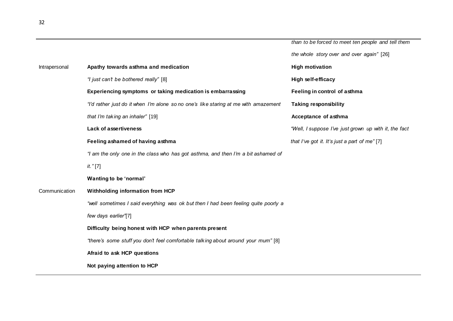|               |                                                                                     | than to be forced to meet ten people and tell them    |
|---------------|-------------------------------------------------------------------------------------|-------------------------------------------------------|
|               |                                                                                     | the whole story over and over again" [26]             |
| Intrapersonal | Apathy towards asthma and medication                                                | <b>High motivation</b>                                |
|               | "I just can't be bothered really" [8]                                               | <b>High self-efficacy</b>                             |
|               | Experiencing symptoms or taking medication is embarrassing                          | Feeling in control of asthma                          |
|               | "I'd rather just do it when I'm alone so no one's like staring at me with amazement | <b>Taking responsibility</b>                          |
|               | that I'm taking an inhaler" [19]                                                    | Acceptance of asthma                                  |
|               | <b>Lack of assertiveness</b>                                                        | "Well, I suppose I've just grown up with it, the fact |
|               | Feeling ashamed of having asthma                                                    | that I've got it. It's just a part of me" [7]         |
|               | "I am the only one in the class who has got asthma, and then I'm a bit ashamed of   |                                                       |
|               | it." [7]                                                                            |                                                       |
|               | Wanting to be 'normal'                                                              |                                                       |
| Communication | Withholding information from HCP                                                    |                                                       |
|               | "well sometimes I said everything was ok but then I had been feeling quite poorly a |                                                       |
|               | few days earlier'[7]                                                                |                                                       |
|               | Difficulty being honest with HCP when parents present                               |                                                       |
|               | "there's some stuff you don't feel comfortable talking about around your mum" [8]   |                                                       |
|               | Afraid to ask HCP questions                                                         |                                                       |
|               | Not paying attention to HCP                                                         |                                                       |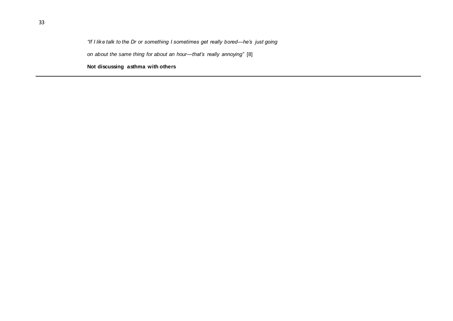# *"If I like talk to the Dr or something I sometimes get really bored—he's just going*

*on about the same thing for about an hour—that's really annoying"* [8]

**Not discussing asthma with others**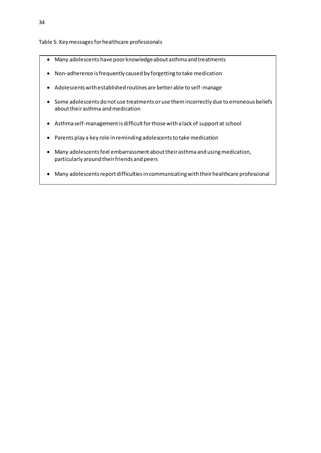## Table 5. Key messages for healthcare professionals

- Many adolescents have poor knowledge about asthma and treatments
- Non-adherence is frequently caused by forgetting to take medication
- Adolescents with established routines are better able to self-manage
- Some adolescents do not use treatments or use them incorrectly due to erroneous beliefs about their asthma and medication
- Asthma self-management is difficult for those with a lack of support at school
- Parents play a key role in reminding adolescents to take medication
- Many adolescents feel embarrassment about their asthma and using medication, particularly around their friends and peers
- Many adolescents report difficulties in communicating with their healthcare professional